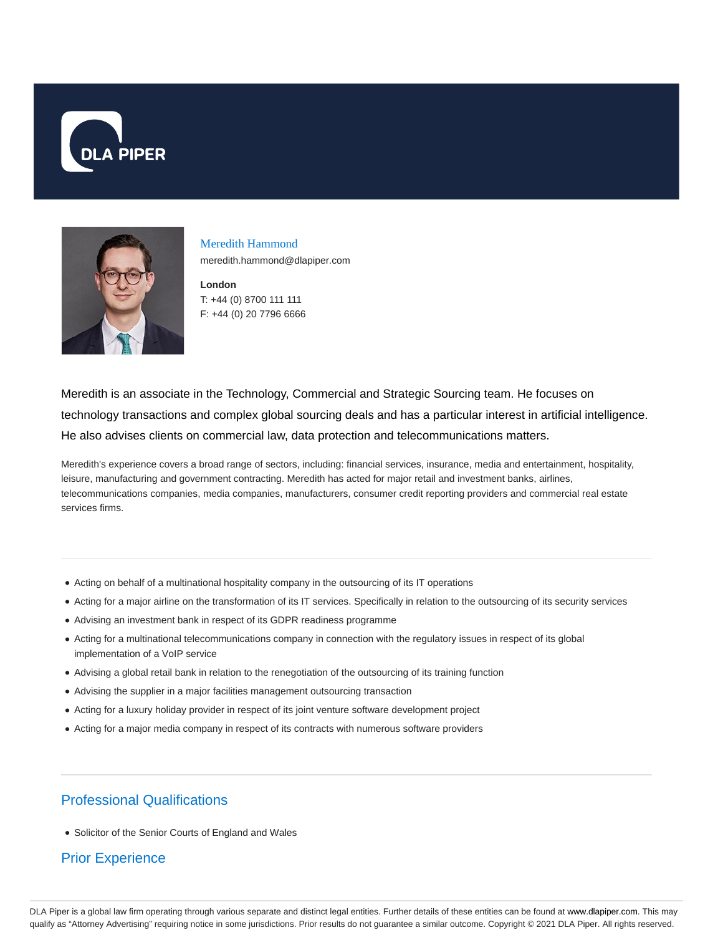



Meredith Hammond meredith.hammond@dlapiper.com

**London** T: +44 (0) 8700 111 111 F: +44 (0) 20 7796 6666

Meredith is an associate in the Technology, Commercial and Strategic Sourcing team. He focuses on technology transactions and complex global sourcing deals and has a particular interest in artificial intelligence. He also advises clients on commercial law, data protection and telecommunications matters.

Meredith's experience covers a broad range of sectors, including: financial services, insurance, media and entertainment, hospitality, leisure, manufacturing and government contracting. Meredith has acted for major retail and investment banks, airlines, telecommunications companies, media companies, manufacturers, consumer credit reporting providers and commercial real estate services firms.

- Acting on behalf of a multinational hospitality company in the outsourcing of its IT operations
- Acting for a major airline on the transformation of its IT services. Specifically in relation to the outsourcing of its security services
- Advising an investment bank in respect of its GDPR readiness programme
- Acting for a multinational telecommunications company in connection with the regulatory issues in respect of its global implementation of a VoIP service
- Advising a global retail bank in relation to the renegotiation of the outsourcing of its training function
- Advising the supplier in a major facilities management outsourcing transaction
- Acting for a luxury holiday provider in respect of its joint venture software development project
- Acting for a major media company in respect of its contracts with numerous software providers

## Professional Qualifications

• Solicitor of the Senior Courts of England and Wales

## Prior Experience

DLA Piper is a global law firm operating through various separate and distinct legal entities. Further details of these entities can be found at www.dlapiper.com. This may qualify as "Attorney Advertising" requiring notice in some jurisdictions. Prior results do not guarantee a similar outcome. Copyright @ 2021 DLA Piper. All rights reserved.